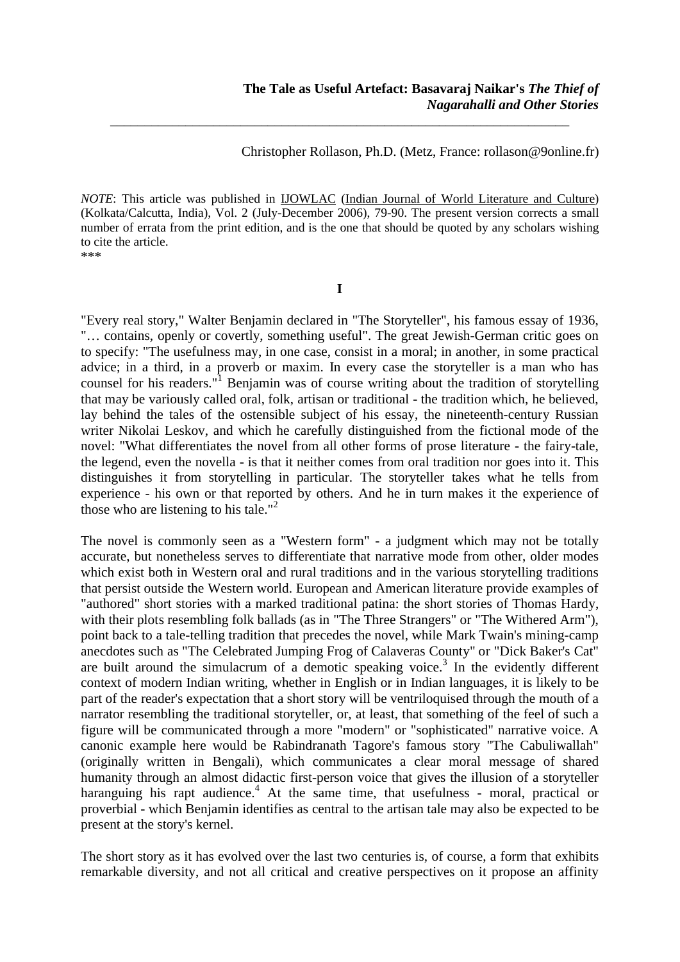Christopher Rollason, Ph.D. (Metz, France: rollason@9online.fr)

*NOTE*: This article was published in **IJOWLAC** (Indian Journal of World Literature and Culture) (Kolkata/Calcutta, India), Vol. 2 (July-December 2006), 79-90. The present version corrects a small number of errata from the print edition, and is the one that should be quoted by any scholars wishing to cite the article. \*\*\*

\_\_\_\_\_\_\_\_\_\_\_\_\_\_\_\_\_\_\_\_\_\_\_\_\_\_\_\_\_\_\_\_\_\_\_\_\_\_\_\_\_\_\_\_\_\_\_\_\_\_\_\_\_\_\_\_\_\_\_\_\_\_\_\_\_\_\_

**I**

"Every real story," Walter Benjamin declared in "The Storyteller", his famous essay of 1936, "… contains, openly or covertly, something useful". The great Jewish-German critic goes on to specify: "The usefulness may, in one case, consist in a moral; in another, in some practical advice; in a third, in a proverb or maxim. In every case the storyteller is a man who has counsel for his readers."<sup>1</sup> Benjamin was of course writing about the tradition of storytelling that may be variously called oral, folk, artisan or traditional - the tradition which, he believed, lay behind the tales of the ostensible subject of his essay, the nineteenth-century Russian writer Nikolai Leskov, and which he carefully distinguished from the fictional mode of the novel: "What differentiates the novel from all other forms of prose literature - the fairy-tale, the legend, even the novella - is that it neither comes from oral tradition nor goes into it. This distinguishes it from storytelling in particular. The storyteller takes what he tells from experience - his own or that reported by others. And he in turn makes it the experience of those who are listening to his tale."<sup>2</sup>

The novel is commonly seen as a "Western form" - a judgment which may not be totally accurate, but nonetheless serves to differentiate that narrative mode from other, older modes which exist both in Western oral and rural traditions and in the various storytelling traditions that persist outside the Western world. European and American literature provide examples of "authored" short stories with a marked traditional patina: the short stories of Thomas Hardy, with their plots resembling folk ballads (as in "The Three Strangers" or "The Withered Arm"), point back to a tale-telling tradition that precedes the novel, while Mark Twain's mining-camp anecdotes such as "The Celebrated Jumping Frog of Calaveras County" or "Dick Baker's Cat" are built around the simulacrum of a demotic speaking voice.<sup>3</sup> In the evidently different context of modern Indian writing, whether in English or in Indian languages, it is likely to be part of the reader's expectation that a short story will be ventriloquised through the mouth of a narrator resembling the traditional storyteller, or, at least, that something of the feel of such a figure will be communicated through a more "modern" or "sophisticated" narrative voice. A canonic example here would be Rabindranath Tagore's famous story "The Cabuliwallah" (originally written in Bengali), which communicates a clear moral message of shared humanity through an almost didactic first-person voice that gives the illusion of a storyteller haranguing his rapt audience.<sup>4</sup> At the same time, that usefulness - moral, practical or proverbial - which Benjamin identifies as central to the artisan tale may also be expected to be present at the story's kernel.

The short story as it has evolved over the last two centuries is, of course, a form that exhibits remarkable diversity, and not all critical and creative perspectives on it propose an affinity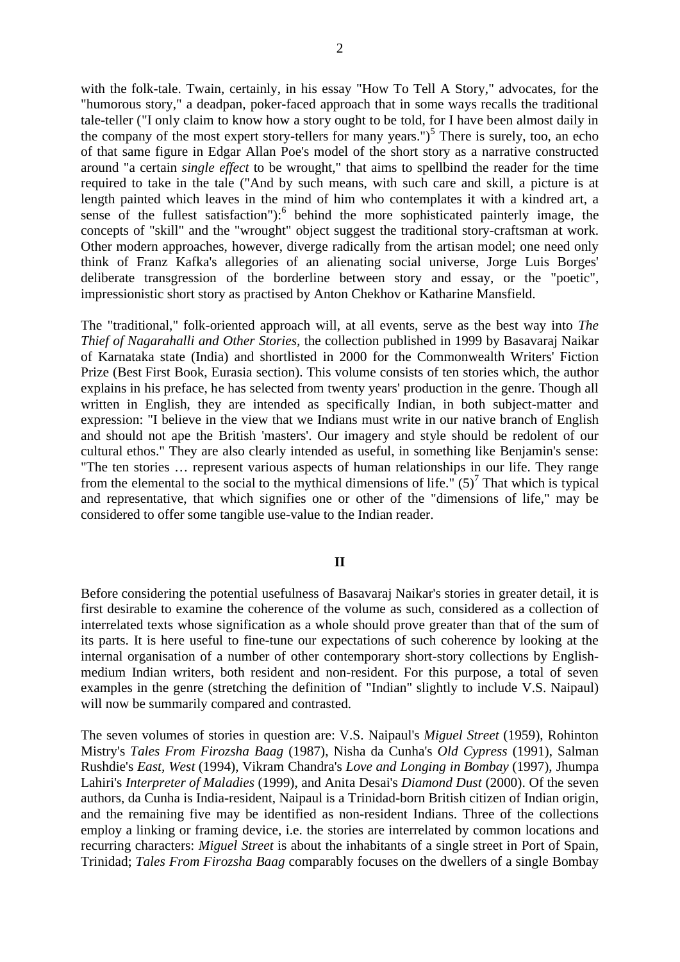with the folk-tale. Twain, certainly, in his essay "How To Tell A Story," advocates, for the "humorous story," a deadpan, poker-faced approach that in some ways recalls the traditional tale-teller ("I only claim to know how a story ought to be told, for I have been almost daily in the company of the most expert story-tellers for many years.")<sup>5</sup> There is surely, too, an echo of that same figure in Edgar Allan Poe's model of the short story as a narrative constructed around "a certain *single effect* to be wrought," that aims to spellbind the reader for the time required to take in the tale ("And by such means, with such care and skill, a picture is at length painted which leaves in the mind of him who contemplates it with a kindred art, a sense of the fullest satisfaction"): $6$  behind the more sophisticated painterly image, the concepts of "skill" and the "wrought" object suggest the traditional story-craftsman at work. Other modern approaches, however, diverge radically from the artisan model; one need only think of Franz Kafka's allegories of an alienating social universe, Jorge Luis Borges' deliberate transgression of the borderline between story and essay, or the "poetic", impressionistic short story as practised by Anton Chekhov or Katharine Mansfield.

The "traditional," folk-oriented approach will, at all events, serve as the best way into *The Thief of Nagarahalli and Other Stories,* the collection published in 1999 by Basavaraj Naikar of Karnataka state (India) and shortlisted in 2000 for the Commonwealth Writers' Fiction Prize (Best First Book, Eurasia section). This volume consists of ten stories which, the author explains in his preface, he has selected from twenty years' production in the genre. Though all written in English, they are intended as specifically Indian, in both subject-matter and expression: "I believe in the view that we Indians must write in our native branch of English and should not ape the British 'masters'. Our imagery and style should be redolent of our cultural ethos." They are also clearly intended as useful, in something like Benjamin's sense: "The ten stories … represent various aspects of human relationships in our life. They range from the elemental to the social to the mythical dimensions of life." $(5)^7$  That which is typical and representative, that which signifies one or other of the "dimensions of life," may be considered to offer some tangible use-value to the Indian reader.

# **II**

Before considering the potential usefulness of Basavaraj Naikar's stories in greater detail, it is first desirable to examine the coherence of the volume as such, considered as a collection of interrelated texts whose signification as a whole should prove greater than that of the sum of its parts. It is here useful to fine-tune our expectations of such coherence by looking at the internal organisation of a number of other contemporary short-story collections by Englishmedium Indian writers, both resident and non-resident. For this purpose, a total of seven examples in the genre (stretching the definition of "Indian" slightly to include V.S. Naipaul) will now be summarily compared and contrasted.

The seven volumes of stories in question are: V.S. Naipaul's *Miguel Street* (1959), Rohinton Mistry's *Tales From Firozsha Baag* (1987), Nisha da Cunha's *Old Cypress* (1991), Salman Rushdie's *East, West* (1994), Vikram Chandra's *Love and Longing in Bombay* (1997), Jhumpa Lahiri's *Interpreter of Maladies* (1999), and Anita Desai's *Diamond Dust* (2000). Of the seven authors, da Cunha is India-resident, Naipaul is a Trinidad-born British citizen of Indian origin, and the remaining five may be identified as non-resident Indians. Three of the collections employ a linking or framing device, i.e. the stories are interrelated by common locations and recurring characters: *Miguel Street* is about the inhabitants of a single street in Port of Spain, Trinidad; *Tales From Firozsha Baag* comparably focuses on the dwellers of a single Bombay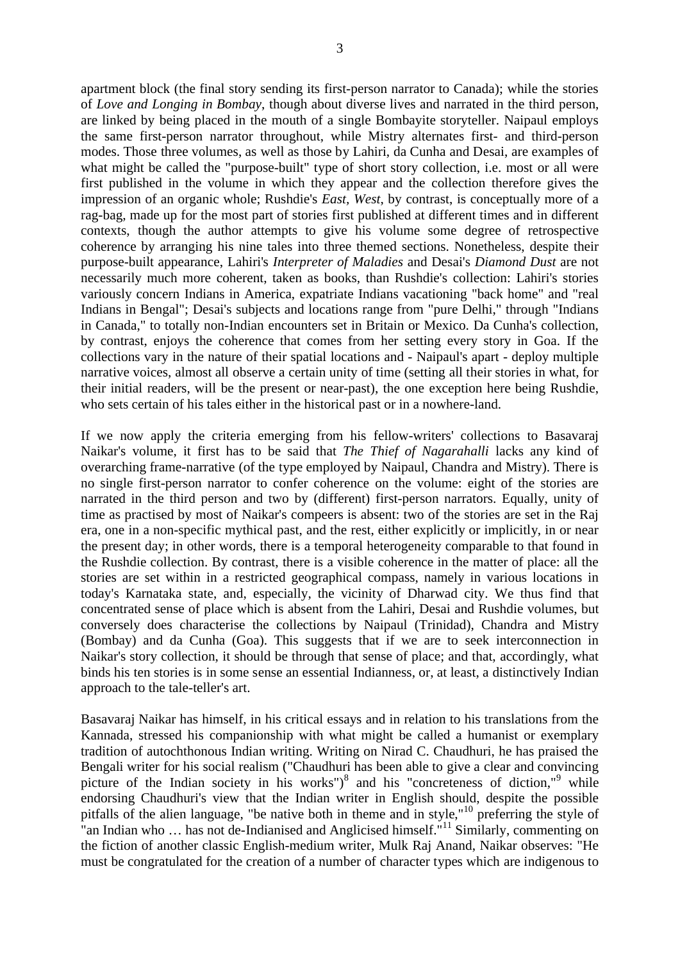apartment block (the final story sending its first-person narrator to Canada); while the stories of *Love and Longing in Bombay*, though about diverse lives and narrated in the third person, are linked by being placed in the mouth of a single Bombayite storyteller. Naipaul employs the same first-person narrator throughout, while Mistry alternates first- and third-person modes. Those three volumes, as well as those by Lahiri, da Cunha and Desai, are examples of what might be called the "purpose-built" type of short story collection, i.e. most or all were first published in the volume in which they appear and the collection therefore gives the impression of an organic whole; Rushdie's *East, West*, by contrast, is conceptually more of a rag-bag, made up for the most part of stories first published at different times and in different contexts, though the author attempts to give his volume some degree of retrospective coherence by arranging his nine tales into three themed sections. Nonetheless, despite their purpose-built appearance, Lahiri's *Interpreter of Maladies* and Desai's *Diamond Dust* are not necessarily much more coherent, taken as books, than Rushdie's collection: Lahiri's stories variously concern Indians in America, expatriate Indians vacationing "back home" and "real Indians in Bengal"; Desai's subjects and locations range from "pure Delhi," through "Indians in Canada," to totally non-Indian encounters set in Britain or Mexico. Da Cunha's collection, by contrast, enjoys the coherence that comes from her setting every story in Goa. If the collections vary in the nature of their spatial locations and - Naipaul's apart - deploy multiple narrative voices, almost all observe a certain unity of time (setting all their stories in what, for their initial readers, will be the present or near-past), the one exception here being Rushdie, who sets certain of his tales either in the historical past or in a nowhere-land.

If we now apply the criteria emerging from his fellow-writers' collections to Basavaraj Naikar's volume, it first has to be said that *The Thief of Nagarahalli* lacks any kind of overarching frame-narrative (of the type employed by Naipaul, Chandra and Mistry). There is no single first-person narrator to confer coherence on the volume: eight of the stories are narrated in the third person and two by (different) first-person narrators. Equally, unity of time as practised by most of Naikar's compeers is absent: two of the stories are set in the Raj era, one in a non-specific mythical past, and the rest, either explicitly or implicitly, in or near the present day; in other words, there is a temporal heterogeneity comparable to that found in the Rushdie collection. By contrast, there is a visible coherence in the matter of place: all the stories are set within in a restricted geographical compass, namely in various locations in today's Karnataka state, and, especially, the vicinity of Dharwad city. We thus find that concentrated sense of place which is absent from the Lahiri, Desai and Rushdie volumes, but conversely does characterise the collections by Naipaul (Trinidad), Chandra and Mistry (Bombay) and da Cunha (Goa). This suggests that if we are to seek interconnection in Naikar's story collection, it should be through that sense of place; and that, accordingly, what binds his ten stories is in some sense an essential Indianness, or, at least, a distinctively Indian approach to the tale-teller's art.

Basavaraj Naikar has himself, in his critical essays and in relation to his translations from the Kannada, stressed his companionship with what might be called a humanist or exemplary tradition of autochthonous Indian writing. Writing on Nirad C. Chaudhuri, he has praised the Bengali writer for his social realism ("Chaudhuri has been able to give a clear and convincing picture of the Indian society in his works")<sup>8</sup> and his "concreteness of diction,"<sup>9</sup> while endorsing Chaudhuri's view that the Indian writer in English should, despite the possible pitfalls of the alien language, "be native both in theme and in style,"<sup>10</sup> preferring the style of "an Indian who ... has not de-Indianised and Anglicised himself."<sup>11</sup> Similarly, commenting on the fiction of another classic English-medium writer, Mulk Raj Anand, Naikar observes: "He must be congratulated for the creation of a number of character types which are indigenous to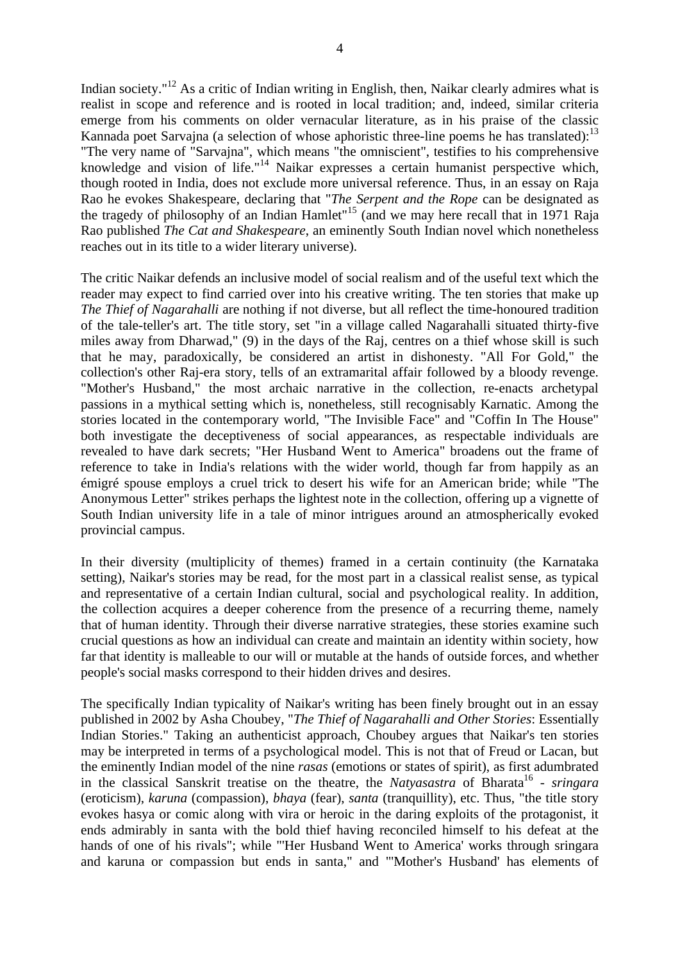Indian society."<sup>12</sup> As a critic of Indian writing in English, then, Naikar clearly admires what is realist in scope and reference and is rooted in local tradition; and, indeed, similar criteria emerge from his comments on older vernacular literature, as in his praise of the classic Kannada poet Sarvajna (a selection of whose aphoristic three-line poems he has translated): $^{13}$ "The very name of "Sarvajna", which means "the omniscient", testifies to his comprehensive knowledge and vision of life."<sup>14</sup> Naikar expresses a certain humanist perspective which, though rooted in India, does not exclude more universal reference. Thus, in an essay on Raja Rao he evokes Shakespeare, declaring that "*The Serpent and the Rope* can be designated as the tragedy of philosophy of an Indian Hamlet<sup> $15$ </sup> (and we may here recall that in 1971 Raja Rao published *The Cat and Shakespeare*, an eminently South Indian novel which nonetheless reaches out in its title to a wider literary universe).

The critic Naikar defends an inclusive model of social realism and of the useful text which the reader may expect to find carried over into his creative writing. The ten stories that make up *The Thief of Nagarahalli* are nothing if not diverse, but all reflect the time-honoured tradition of the tale-teller's art. The title story, set "in a village called Nagarahalli situated thirty-five miles away from Dharwad," (9) in the days of the Raj, centres on a thief whose skill is such that he may, paradoxically, be considered an artist in dishonesty. "All For Gold," the collection's other Raj-era story, tells of an extramarital affair followed by a bloody revenge. "Mother's Husband," the most archaic narrative in the collection, re-enacts archetypal passions in a mythical setting which is, nonetheless, still recognisably Karnatic. Among the stories located in the contemporary world, "The Invisible Face" and "Coffin In The House" both investigate the deceptiveness of social appearances, as respectable individuals are revealed to have dark secrets; "Her Husband Went to America" broadens out the frame of reference to take in India's relations with the wider world, though far from happily as an émigré spouse employs a cruel trick to desert his wife for an American bride; while "The Anonymous Letter" strikes perhaps the lightest note in the collection, offering up a vignette of South Indian university life in a tale of minor intrigues around an atmospherically evoked provincial campus.

In their diversity (multiplicity of themes) framed in a certain continuity (the Karnataka setting), Naikar's stories may be read, for the most part in a classical realist sense, as typical and representative of a certain Indian cultural, social and psychological reality. In addition, the collection acquires a deeper coherence from the presence of a recurring theme, namely that of human identity. Through their diverse narrative strategies, these stories examine such crucial questions as how an individual can create and maintain an identity within society, how far that identity is malleable to our will or mutable at the hands of outside forces, and whether people's social masks correspond to their hidden drives and desires.

The specifically Indian typicality of Naikar's writing has been finely brought out in an essay published in 2002 by Asha Choubey, "*The Thief of Nagarahalli and Other Stories*: Essentially Indian Stories." Taking an authenticist approach, Choubey argues that Naikar's ten stories may be interpreted in terms of a psychological model. This is not that of Freud or Lacan, but the eminently Indian model of the nine *rasas* (emotions or states of spirit), as first adumbrated in the classical Sanskrit treatise on the theatre, the *Natyasastra* of Bharata<sup>16</sup> - *sringara* (eroticism), *karuna* (compassion), *bhaya* (fear), *santa* (tranquillity), etc. Thus, "the title story evokes hasya or comic along with vira or heroic in the daring exploits of the protagonist, it ends admirably in santa with the bold thief having reconciled himself to his defeat at the hands of one of his rivals"; while "'Her Husband Went to America' works through sringara and karuna or compassion but ends in santa," and "'Mother's Husband' has elements of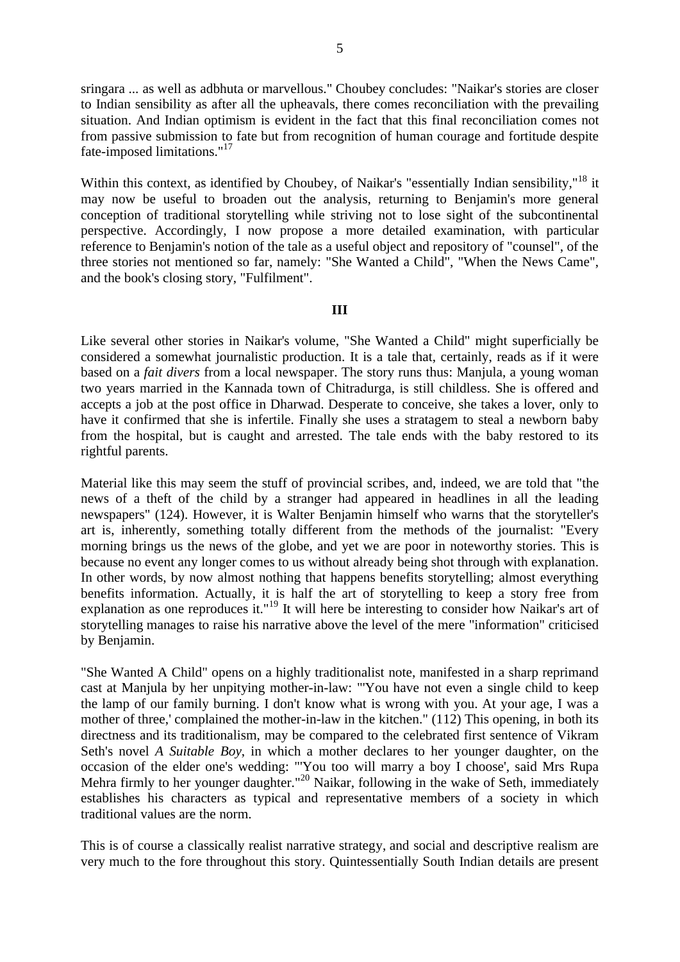sringara ... as well as adbhuta or marvellous." Choubey concludes: "Naikar's stories are closer to Indian sensibility as after all the upheavals, there comes reconciliation with the prevailing situation. And Indian optimism is evident in the fact that this final reconciliation comes not from passive submission to fate but from recognition of human courage and fortitude despite fate-imposed limitations."<sup>17</sup>

Within this context, as identified by Choubey, of Naikar's "essentially Indian sensibility,"<sup>18</sup> it may now be useful to broaden out the analysis, returning to Benjamin's more general conception of traditional storytelling while striving not to lose sight of the subcontinental perspective. Accordingly, I now propose a more detailed examination, with particular reference to Benjamin's notion of the tale as a useful object and repository of "counsel", of the three stories not mentioned so far, namely: "She Wanted a Child", "When the News Came", and the book's closing story, "Fulfilment".

## **III**

Like several other stories in Naikar's volume, "She Wanted a Child" might superficially be considered a somewhat journalistic production. It is a tale that, certainly, reads as if it were based on a *fait divers* from a local newspaper. The story runs thus: Manjula, a young woman two years married in the Kannada town of Chitradurga, is still childless. She is offered and accepts a job at the post office in Dharwad. Desperate to conceive, she takes a lover, only to have it confirmed that she is infertile. Finally she uses a stratagem to steal a newborn baby from the hospital, but is caught and arrested. The tale ends with the baby restored to its rightful parents.

Material like this may seem the stuff of provincial scribes, and, indeed, we are told that "the news of a theft of the child by a stranger had appeared in headlines in all the leading newspapers" (124). However, it is Walter Benjamin himself who warns that the storyteller's art is, inherently, something totally different from the methods of the journalist: "Every morning brings us the news of the globe, and yet we are poor in noteworthy stories. This is because no event any longer comes to us without already being shot through with explanation. In other words, by now almost nothing that happens benefits storytelling; almost everything benefits information. Actually, it is half the art of storytelling to keep a story free from explanation as one reproduces it."19 It will here be interesting to consider how Naikar's art of storytelling manages to raise his narrative above the level of the mere "information" criticised by Benjamin.

"She Wanted A Child" opens on a highly traditionalist note, manifested in a sharp reprimand cast at Manjula by her unpitying mother-in-law: "'You have not even a single child to keep the lamp of our family burning. I don't know what is wrong with you. At your age, I was a mother of three,' complained the mother-in-law in the kitchen." (112) This opening, in both its directness and its traditionalism, may be compared to the celebrated first sentence of Vikram Seth's novel *A Suitable Boy*, in which a mother declares to her younger daughter, on the occasion of the elder one's wedding: "'You too will marry a boy I choose', said Mrs Rupa Mehra firmly to her younger daughter."<sup>20</sup> Naikar, following in the wake of Seth, immediately establishes his characters as typical and representative members of a society in which traditional values are the norm.

This is of course a classically realist narrative strategy, and social and descriptive realism are very much to the fore throughout this story. Quintessentially South Indian details are present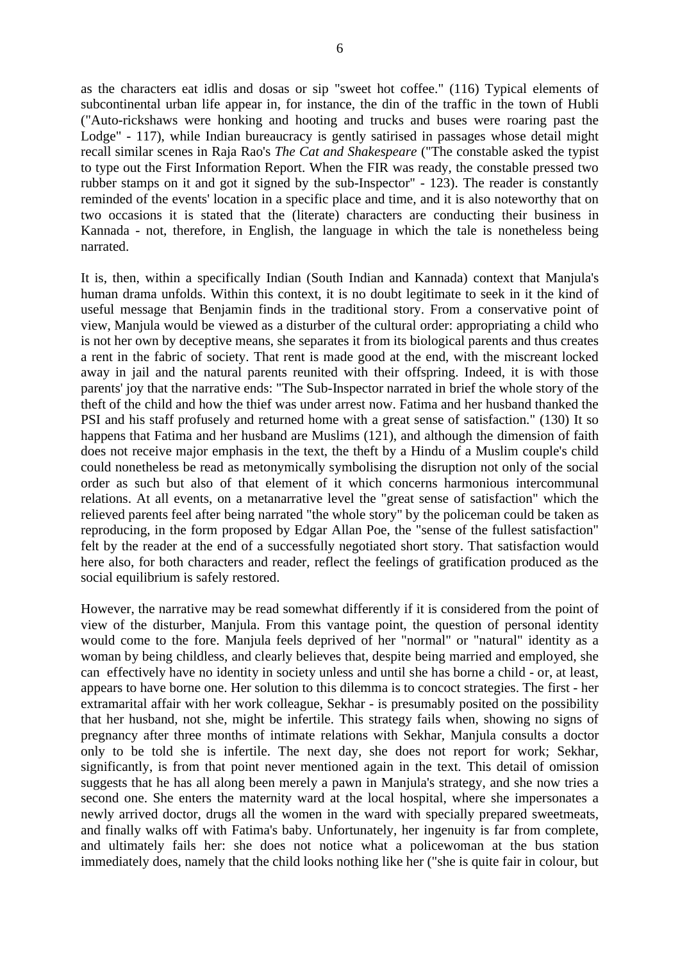as the characters eat idlis and dosas or sip "sweet hot coffee." (116) Typical elements of subcontinental urban life appear in, for instance, the din of the traffic in the town of Hubli ("Auto-rickshaws were honking and hooting and trucks and buses were roaring past the Lodge" - 117), while Indian bureaucracy is gently satirised in passages whose detail might recall similar scenes in Raja Rao's *The Cat and Shakespeare* ("The constable asked the typist to type out the First Information Report. When the FIR was ready, the constable pressed two rubber stamps on it and got it signed by the sub-Inspector" - 123). The reader is constantly reminded of the events' location in a specific place and time, and it is also noteworthy that on two occasions it is stated that the (literate) characters are conducting their business in Kannada - not, therefore, in English, the language in which the tale is nonetheless being narrated.

It is, then, within a specifically Indian (South Indian and Kannada) context that Manjula's human drama unfolds. Within this context, it is no doubt legitimate to seek in it the kind of useful message that Benjamin finds in the traditional story. From a conservative point of view, Manjula would be viewed as a disturber of the cultural order: appropriating a child who is not her own by deceptive means, she separates it from its biological parents and thus creates a rent in the fabric of society. That rent is made good at the end, with the miscreant locked away in jail and the natural parents reunited with their offspring. Indeed, it is with those parents' joy that the narrative ends: "The Sub-Inspector narrated in brief the whole story of the theft of the child and how the thief was under arrest now. Fatima and her husband thanked the PSI and his staff profusely and returned home with a great sense of satisfaction." (130) It so happens that Fatima and her husband are Muslims (121), and although the dimension of faith does not receive major emphasis in the text, the theft by a Hindu of a Muslim couple's child could nonetheless be read as metonymically symbolising the disruption not only of the social order as such but also of that element of it which concerns harmonious intercommunal relations. At all events, on a metanarrative level the "great sense of satisfaction" which the relieved parents feel after being narrated "the whole story" by the policeman could be taken as reproducing, in the form proposed by Edgar Allan Poe, the "sense of the fullest satisfaction" felt by the reader at the end of a successfully negotiated short story. That satisfaction would here also, for both characters and reader, reflect the feelings of gratification produced as the social equilibrium is safely restored.

However, the narrative may be read somewhat differently if it is considered from the point of view of the disturber, Manjula. From this vantage point, the question of personal identity would come to the fore. Manjula feels deprived of her "normal" or "natural" identity as a woman by being childless, and clearly believes that, despite being married and employed, she can effectively have no identity in society unless and until she has borne a child - or, at least, appears to have borne one. Her solution to this dilemma is to concoct strategies. The first - her extramarital affair with her work colleague, Sekhar - is presumably posited on the possibility that her husband, not she, might be infertile. This strategy fails when, showing no signs of pregnancy after three months of intimate relations with Sekhar, Manjula consults a doctor only to be told she is infertile. The next day, she does not report for work; Sekhar, significantly, is from that point never mentioned again in the text. This detail of omission suggests that he has all along been merely a pawn in Manjula's strategy, and she now tries a second one. She enters the maternity ward at the local hospital, where she impersonates a newly arrived doctor, drugs all the women in the ward with specially prepared sweetmeats, and finally walks off with Fatima's baby. Unfortunately, her ingenuity is far from complete, and ultimately fails her: she does not notice what a policewoman at the bus station immediately does, namely that the child looks nothing like her ("she is quite fair in colour, but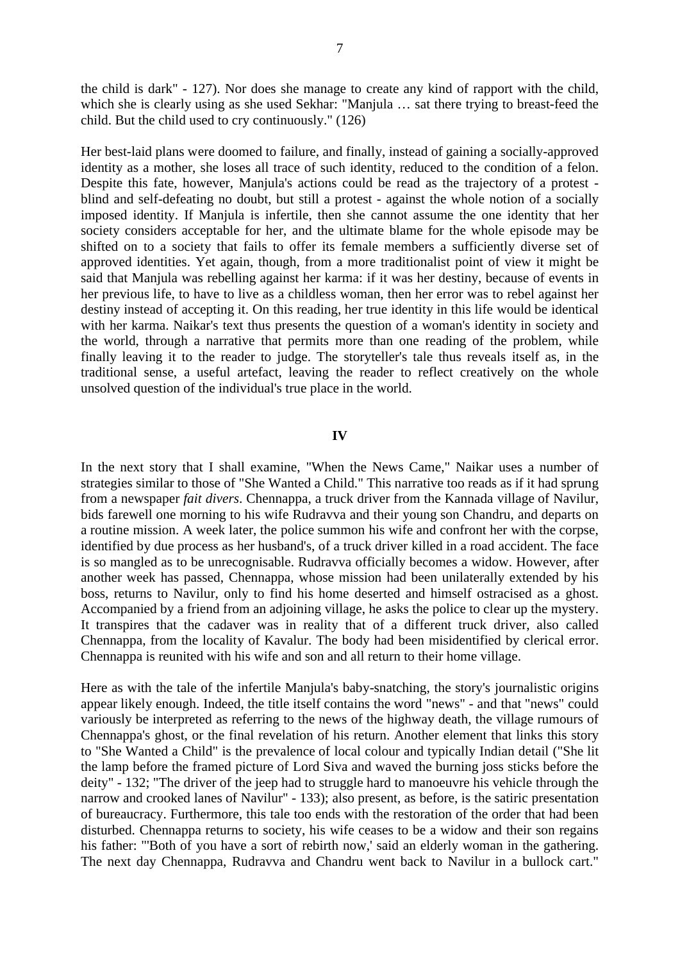the child is dark" - 127). Nor does she manage to create any kind of rapport with the child, which she is clearly using as she used Sekhar: "Manjula … sat there trying to breast-feed the child. But the child used to cry continuously." (126)

Her best-laid plans were doomed to failure, and finally, instead of gaining a socially-approved identity as a mother, she loses all trace of such identity, reduced to the condition of a felon. Despite this fate, however, Manjula's actions could be read as the trajectory of a protest blind and self-defeating no doubt, but still a protest - against the whole notion of a socially imposed identity. If Manjula is infertile, then she cannot assume the one identity that her society considers acceptable for her, and the ultimate blame for the whole episode may be shifted on to a society that fails to offer its female members a sufficiently diverse set of approved identities. Yet again, though, from a more traditionalist point of view it might be said that Manjula was rebelling against her karma: if it was her destiny, because of events in her previous life, to have to live as a childless woman, then her error was to rebel against her destiny instead of accepting it. On this reading, her true identity in this life would be identical with her karma. Naikar's text thus presents the question of a woman's identity in society and the world, through a narrative that permits more than one reading of the problem, while finally leaving it to the reader to judge. The storyteller's tale thus reveals itself as, in the traditional sense, a useful artefact, leaving the reader to reflect creatively on the whole unsolved question of the individual's true place in the world.

# **IV**

In the next story that I shall examine, "When the News Came," Naikar uses a number of strategies similar to those of "She Wanted a Child." This narrative too reads as if it had sprung from a newspaper *fait divers*. Chennappa, a truck driver from the Kannada village of Navilur, bids farewell one morning to his wife Rudravva and their young son Chandru, and departs on a routine mission. A week later, the police summon his wife and confront her with the corpse, identified by due process as her husband's, of a truck driver killed in a road accident. The face is so mangled as to be unrecognisable. Rudravva officially becomes a widow. However, after another week has passed, Chennappa, whose mission had been unilaterally extended by his boss, returns to Navilur, only to find his home deserted and himself ostracised as a ghost. Accompanied by a friend from an adjoining village, he asks the police to clear up the mystery. It transpires that the cadaver was in reality that of a different truck driver, also called Chennappa, from the locality of Kavalur. The body had been misidentified by clerical error. Chennappa is reunited with his wife and son and all return to their home village.

Here as with the tale of the infertile Manjula's baby-snatching, the story's journalistic origins appear likely enough. Indeed, the title itself contains the word "news" - and that "news" could variously be interpreted as referring to the news of the highway death, the village rumours of Chennappa's ghost, or the final revelation of his return. Another element that links this story to "She Wanted a Child" is the prevalence of local colour and typically Indian detail ("She lit the lamp before the framed picture of Lord Siva and waved the burning joss sticks before the deity" - 132; "The driver of the jeep had to struggle hard to manoeuvre his vehicle through the narrow and crooked lanes of Navilur" - 133); also present, as before, is the satiric presentation of bureaucracy. Furthermore, this tale too ends with the restoration of the order that had been disturbed. Chennappa returns to society, his wife ceases to be a widow and their son regains his father: "Both of you have a sort of rebirth now,' said an elderly woman in the gathering. The next day Chennappa, Rudravva and Chandru went back to Navilur in a bullock cart."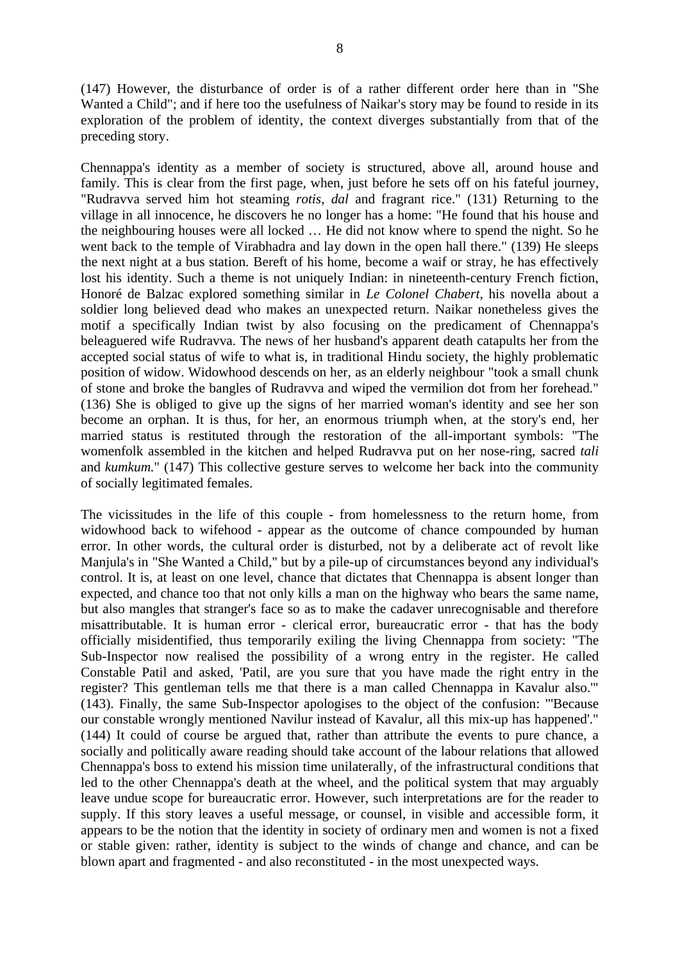(147) However, the disturbance of order is of a rather different order here than in "She Wanted a Child"; and if here too the usefulness of Naikar's story may be found to reside in its exploration of the problem of identity, the context diverges substantially from that of the preceding story.

Chennappa's identity as a member of society is structured, above all, around house and family. This is clear from the first page, when, just before he sets off on his fateful journey, "Rudravva served him hot steaming *rotis*, *dal* and fragrant rice." (131) Returning to the village in all innocence, he discovers he no longer has a home: "He found that his house and the neighbouring houses were all locked … He did not know where to spend the night. So he went back to the temple of Virabhadra and lay down in the open hall there." (139) He sleeps the next night at a bus station. Bereft of his home, become a waif or stray, he has effectively lost his identity. Such a theme is not uniquely Indian: in nineteenth-century French fiction, Honoré de Balzac explored something similar in *Le Colonel Chabert*, his novella about a soldier long believed dead who makes an unexpected return. Naikar nonetheless gives the motif a specifically Indian twist by also focusing on the predicament of Chennappa's beleaguered wife Rudravva. The news of her husband's apparent death catapults her from the accepted social status of wife to what is, in traditional Hindu society, the highly problematic position of widow. Widowhood descends on her, as an elderly neighbour "took a small chunk of stone and broke the bangles of Rudravva and wiped the vermilion dot from her forehead." (136) She is obliged to give up the signs of her married woman's identity and see her son become an orphan. It is thus, for her, an enormous triumph when, at the story's end, her married status is restituted through the restoration of the all-important symbols: "The womenfolk assembled in the kitchen and helped Rudravva put on her nose-ring, sacred *tali* and *kumkum*." (147) This collective gesture serves to welcome her back into the community of socially legitimated females.

The vicissitudes in the life of this couple - from homelessness to the return home, from widowhood back to wifehood - appear as the outcome of chance compounded by human error. In other words, the cultural order is disturbed, not by a deliberate act of revolt like Manjula's in "She Wanted a Child," but by a pile-up of circumstances beyond any individual's control. It is, at least on one level, chance that dictates that Chennappa is absent longer than expected, and chance too that not only kills a man on the highway who bears the same name, but also mangles that stranger's face so as to make the cadaver unrecognisable and therefore misattributable. It is human error - clerical error, bureaucratic error - that has the body officially misidentified, thus temporarily exiling the living Chennappa from society: "The Sub-Inspector now realised the possibility of a wrong entry in the register. He called Constable Patil and asked, 'Patil, are you sure that you have made the right entry in the register? This gentleman tells me that there is a man called Chennappa in Kavalur also.'" (143). Finally, the same Sub-Inspector apologises to the object of the confusion: "'Because our constable wrongly mentioned Navilur instead of Kavalur, all this mix-up has happened'." (144) It could of course be argued that, rather than attribute the events to pure chance, a socially and politically aware reading should take account of the labour relations that allowed Chennappa's boss to extend his mission time unilaterally, of the infrastructural conditions that led to the other Chennappa's death at the wheel, and the political system that may arguably leave undue scope for bureaucratic error. However, such interpretations are for the reader to supply. If this story leaves a useful message, or counsel, in visible and accessible form, it appears to be the notion that the identity in society of ordinary men and women is not a fixed or stable given: rather, identity is subject to the winds of change and chance, and can be blown apart and fragmented - and also reconstituted - in the most unexpected ways.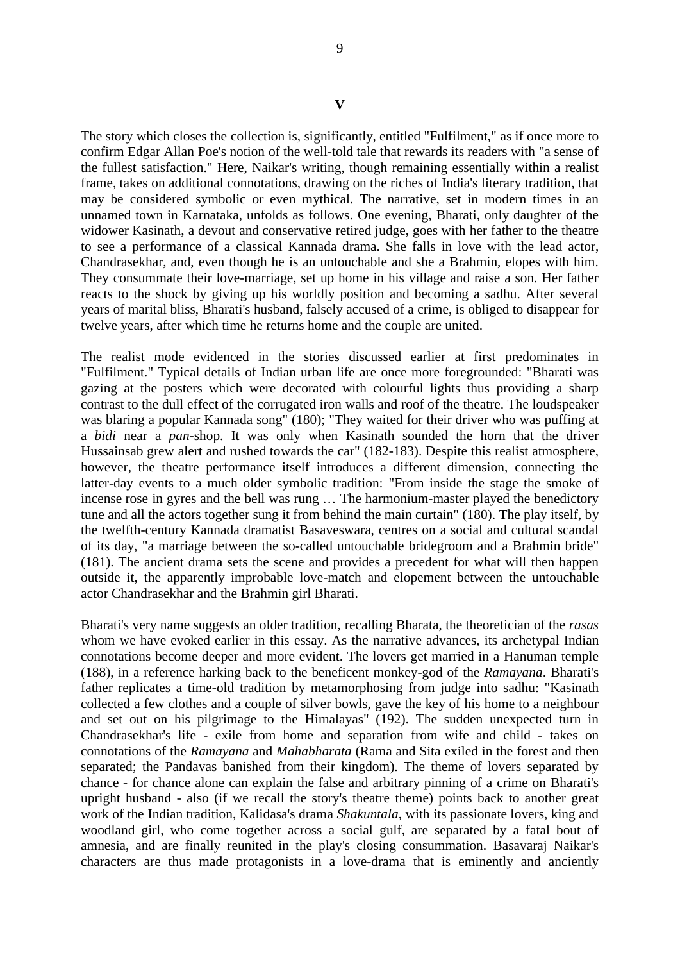The story which closes the collection is, significantly, entitled "Fulfilment," as if once more to confirm Edgar Allan Poe's notion of the well-told tale that rewards its readers with "a sense of the fullest satisfaction." Here, Naikar's writing, though remaining essentially within a realist frame, takes on additional connotations, drawing on the riches of India's literary tradition, that may be considered symbolic or even mythical. The narrative, set in modern times in an unnamed town in Karnataka, unfolds as follows. One evening, Bharati, only daughter of the widower Kasinath, a devout and conservative retired judge, goes with her father to the theatre to see a performance of a classical Kannada drama. She falls in love with the lead actor, Chandrasekhar, and, even though he is an untouchable and she a Brahmin, elopes with him. They consummate their love-marriage, set up home in his village and raise a son. Her father reacts to the shock by giving up his worldly position and becoming a sadhu. After several years of marital bliss, Bharati's husband, falsely accused of a crime, is obliged to disappear for twelve years, after which time he returns home and the couple are united.

The realist mode evidenced in the stories discussed earlier at first predominates in "Fulfilment." Typical details of Indian urban life are once more foregrounded: "Bharati was gazing at the posters which were decorated with colourful lights thus providing a sharp contrast to the dull effect of the corrugated iron walls and roof of the theatre. The loudspeaker was blaring a popular Kannada song" (180); "They waited for their driver who was puffing at a *bidi* near a *pan*-shop. It was only when Kasinath sounded the horn that the driver Hussainsab grew alert and rushed towards the car" (182-183). Despite this realist atmosphere, however, the theatre performance itself introduces a different dimension, connecting the latter-day events to a much older symbolic tradition: "From inside the stage the smoke of incense rose in gyres and the bell was rung … The harmonium-master played the benedictory tune and all the actors together sung it from behind the main curtain" (180). The play itself, by the twelfth-century Kannada dramatist Basaveswara, centres on a social and cultural scandal of its day, "a marriage between the so-called untouchable bridegroom and a Brahmin bride" (181). The ancient drama sets the scene and provides a precedent for what will then happen outside it, the apparently improbable love-match and elopement between the untouchable actor Chandrasekhar and the Brahmin girl Bharati.

Bharati's very name suggests an older tradition, recalling Bharata, the theoretician of the *rasas* whom we have evoked earlier in this essay. As the narrative advances, its archetypal Indian connotations become deeper and more evident. The lovers get married in a Hanuman temple (188), in a reference harking back to the beneficent monkey-god of the *Ramayana*. Bharati's father replicates a time-old tradition by metamorphosing from judge into sadhu: "Kasinath collected a few clothes and a couple of silver bowls, gave the key of his home to a neighbour and set out on his pilgrimage to the Himalayas" (192). The sudden unexpected turn in Chandrasekhar's life - exile from home and separation from wife and child - takes on connotations of the *Ramayana* and *Mahabharata* (Rama and Sita exiled in the forest and then separated; the Pandavas banished from their kingdom). The theme of lovers separated by chance - for chance alone can explain the false and arbitrary pinning of a crime on Bharati's upright husband - also (if we recall the story's theatre theme) points back to another great work of the Indian tradition, Kalidasa's drama *Shakuntala*, with its passionate lovers, king and woodland girl, who come together across a social gulf, are separated by a fatal bout of amnesia, and are finally reunited in the play's closing consummation. Basavaraj Naikar's characters are thus made protagonists in a love-drama that is eminently and anciently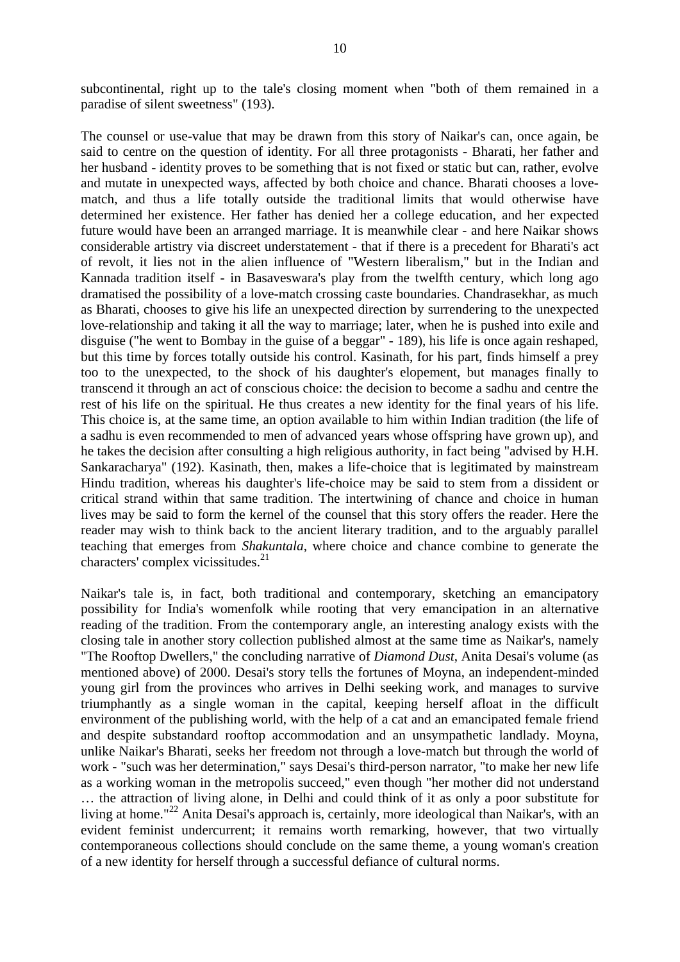subcontinental, right up to the tale's closing moment when "both of them remained in a paradise of silent sweetness" (193).

The counsel or use-value that may be drawn from this story of Naikar's can, once again, be said to centre on the question of identity. For all three protagonists - Bharati, her father and her husband - identity proves to be something that is not fixed or static but can, rather, evolve and mutate in unexpected ways, affected by both choice and chance. Bharati chooses a lovematch, and thus a life totally outside the traditional limits that would otherwise have determined her existence. Her father has denied her a college education, and her expected future would have been an arranged marriage. It is meanwhile clear - and here Naikar shows considerable artistry via discreet understatement - that if there is a precedent for Bharati's act of revolt, it lies not in the alien influence of "Western liberalism," but in the Indian and Kannada tradition itself - in Basaveswara's play from the twelfth century, which long ago dramatised the possibility of a love-match crossing caste boundaries. Chandrasekhar, as much as Bharati, chooses to give his life an unexpected direction by surrendering to the unexpected love-relationship and taking it all the way to marriage; later, when he is pushed into exile and disguise ("he went to Bombay in the guise of a beggar" - 189), his life is once again reshaped, but this time by forces totally outside his control. Kasinath, for his part, finds himself a prey too to the unexpected, to the shock of his daughter's elopement, but manages finally to transcend it through an act of conscious choice: the decision to become a sadhu and centre the rest of his life on the spiritual. He thus creates a new identity for the final years of his life. This choice is, at the same time, an option available to him within Indian tradition (the life of a sadhu is even recommended to men of advanced years whose offspring have grown up), and he takes the decision after consulting a high religious authority, in fact being "advised by H.H. Sankaracharya" (192). Kasinath, then, makes a life-choice that is legitimated by mainstream Hindu tradition, whereas his daughter's life-choice may be said to stem from a dissident or critical strand within that same tradition. The intertwining of chance and choice in human lives may be said to form the kernel of the counsel that this story offers the reader. Here the reader may wish to think back to the ancient literary tradition, and to the arguably parallel teaching that emerges from *Shakuntala*, where choice and chance combine to generate the characters' complex vicissitudes.<sup>21</sup>

Naikar's tale is, in fact, both traditional and contemporary, sketching an emancipatory possibility for India's womenfolk while rooting that very emancipation in an alternative reading of the tradition. From the contemporary angle, an interesting analogy exists with the closing tale in another story collection published almost at the same time as Naikar's, namely "The Rooftop Dwellers," the concluding narrative of *Diamond Dust*, Anita Desai's volume (as mentioned above) of 2000. Desai's story tells the fortunes of Moyna, an independent-minded young girl from the provinces who arrives in Delhi seeking work, and manages to survive triumphantly as a single woman in the capital, keeping herself afloat in the difficult environment of the publishing world, with the help of a cat and an emancipated female friend and despite substandard rooftop accommodation and an unsympathetic landlady. Moyna, unlike Naikar's Bharati, seeks her freedom not through a love-match but through the world of work - "such was her determination," says Desai's third-person narrator, "to make her new life as a working woman in the metropolis succeed," even though "her mother did not understand … the attraction of living alone, in Delhi and could think of it as only a poor substitute for living at home."<sup>22</sup> Anita Desai's approach is, certainly, more ideological than Naikar's, with an evident feminist undercurrent; it remains worth remarking, however, that two virtually contemporaneous collections should conclude on the same theme, a young woman's creation of a new identity for herself through a successful defiance of cultural norms.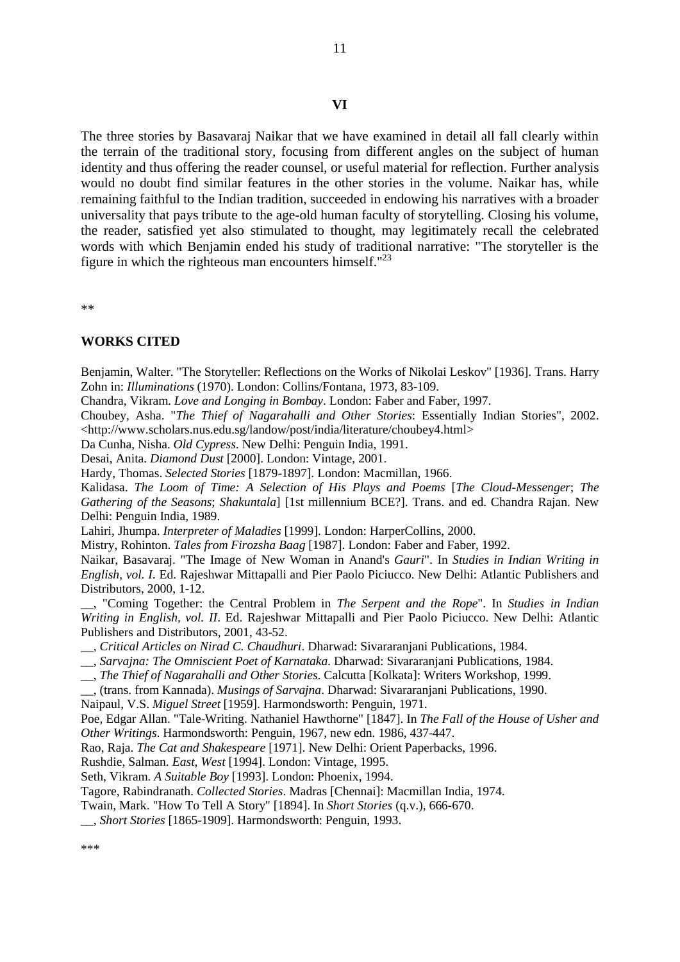The three stories by Basavaraj Naikar that we have examined in detail all fall clearly within the terrain of the traditional story, focusing from different angles on the subject of human identity and thus offering the reader counsel, or useful material for reflection. Further analysis would no doubt find similar features in the other stories in the volume. Naikar has, while remaining faithful to the Indian tradition, succeeded in endowing his narratives with a broader universality that pays tribute to the age-old human faculty of storytelling. Closing his volume, the reader, satisfied yet also stimulated to thought, may legitimately recall the celebrated words with which Benjamin ended his study of traditional narrative: "The storyteller is the figure in which the righteous man encounters himself." $^{23}$ 

\*\*

#### **WORKS CITED**

Benjamin, Walter. "The Storyteller: Reflections on the Works of Nikolai Leskov" [1936]. Trans. Harry Zohn in: *Illuminations* (1970). London: Collins/Fontana, 1973, 83-109.

Chandra, Vikram. *Love and Longing in Bombay*. London: Faber and Faber, 1997.

Choubey, Asha. "*The Thief of Nagarahalli and Other Stories*: Essentially Indian Stories", 2002. <http://www.scholars.nus.edu.sg/landow/post/india/literature/choubey4.html>

Da Cunha, Nisha. *Old Cypress*. New Delhi: Penguin India, 1991.

Desai, Anita. *Diamond Dust* [2000]. London: Vintage, 2001.

Hardy, Thomas. *Selected Stories* [1879-1897]. London: Macmillan, 1966.

Kalidasa. *The Loom of Time: A Selection of His Plays and Poems* [*The Cloud-Messenger*; *The Gathering of the Seasons*; *Shakuntala*] [1st millennium BCE?]. Trans. and ed. Chandra Rajan. New Delhi: Penguin India, 1989.

Lahiri, Jhumpa. *Interpreter of Maladies* [1999]. London: HarperCollins, 2000.

Mistry, Rohinton. *Tales from Firozsha Baag* [1987]. London: Faber and Faber, 1992.

Naikar, Basavaraj. "The Image of New Woman in Anand's *Gauri*". In *Studies in Indian Writing in English, vol. I*. Ed. Rajeshwar Mittapalli and Pier Paolo Piciucco. New Delhi: Atlantic Publishers and Distributors, 2000, 1-12.

\_\_, "Coming Together: the Central Problem in *The Serpent and the Rope*". In *Studies in Indian Writing in English, vol. II*. Ed. Rajeshwar Mittapalli and Pier Paolo Piciucco. New Delhi: Atlantic Publishers and Distributors, 2001, 43-52.

- \_\_, *Critical Articles on Nirad C. Chaudhuri*. Dharwad: Sivararanjani Publications, 1984.
- \_\_, *Sarvajna: The Omniscient Poet of Karnataka*. Dharwad: Sivararanjani Publications, 1984.
- \_\_, *The Thief of Nagarahalli and Other Stories*. Calcutta [Kolkata]: Writers Workshop, 1999.
- \_\_, (trans. from Kannada). *Musings of Sarvajna*. Dharwad: Sivararanjani Publications, 1990.

Naipaul, V.S. *Miguel Street* [1959]. Harmondsworth: Penguin, 1971.

Poe, Edgar Allan. "Tale-Writing. Nathaniel Hawthorne" [1847]. In *The Fall of the House of Usher and* 

*Other Writings*. Harmondsworth: Penguin, 1967, new edn. 1986, 437-447.

Rao, Raja. *The Cat and Shakespeare* [1971]. New Delhi: Orient Paperbacks, 1996.

Rushdie, Salman. *East, West* [1994]. London: Vintage, 1995.

Seth, Vikram. *A Suitable Boy* [1993]. London: Phoenix, 1994.

Tagore, Rabindranath. *Collected Stories*. Madras [Chennai]: Macmillan India, 1974.

Twain, Mark. "How To Tell A Story" [1894]. In *Short Stories* (q.v.), 666-670.

\_\_, *Short Stories* [1865-1909]. Harmondsworth: Penguin, 1993.